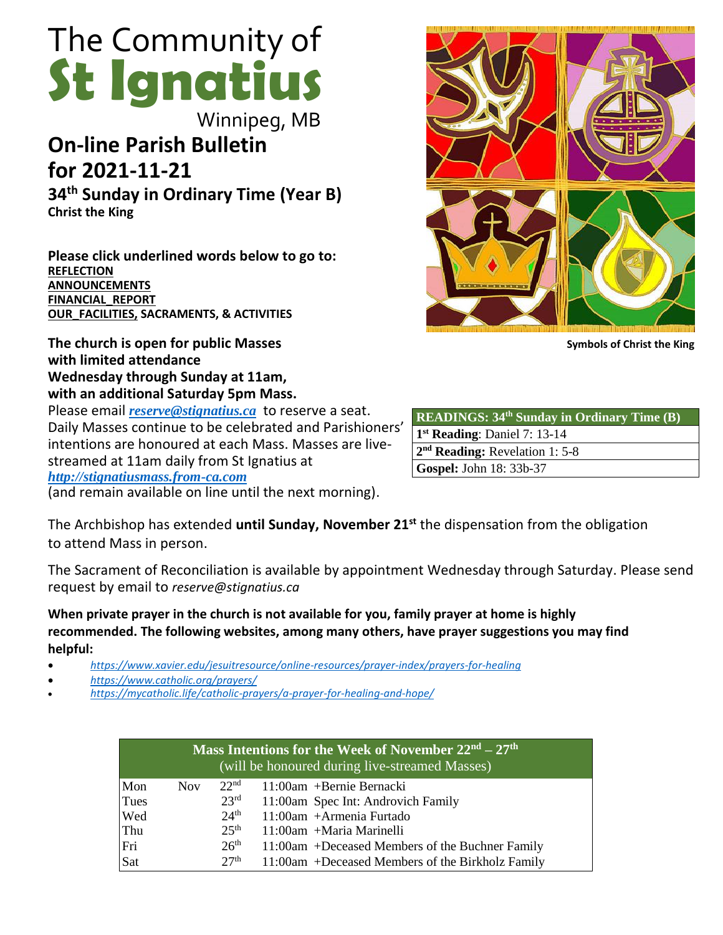# The Community of **St Ignatius**

Winnipeg, MB

# **On-line Parish Bulletin for 2021-11-21**

**34 th Sunday in Ordinary Time (Year B) Christ the King**

**Please click underlined words below to go to: [REFLECTION](#page-2-0) [ANNOUNCEMENTS](#page-1-0) [FINANCIAL\\_REPORT](#page-3-0) [OUR\\_FACILITIES,](#page-3-1) SACRAMENTS, & ACTIVITIES**

**The church is open for public Masses with limited attendance Wednesday through Sunday at 11am, with an additional Saturday 5pm Mass.** 

Please email *[reserve@stignatius.ca](mailto:reserve@stignatius.cat)* to reserve a seat. Daily Masses continue to be celebrated and Parishioners' intentions are honoured at each Mass. Masses are livestreamed at 11am daily from St Ignatius at *[http://stignatiusmass.from-ca.com](http://stignatiusmass.from-ca.com/)*

(and remain available on line until the next morning).

The Archbishop has extended **until Sunday, November 21st** the dispensation from the obligation to attend Mass in person.

The Sacrament of Reconciliation is available by appointment Wednesday through Saturday. Please send request by email to *reserve@stignatius.ca*

**When private prayer in the church is not available for you, family prayer at home is highly recommended. The following websites, among many others, have prayer suggestions you may find helpful:**

- *<https://www.xavier.edu/jesuitresource/online-resources/prayer-index/prayers-for-healing>*
- *<https://www.catholic.org/prayers/>*
- *<https://mycatholic.life/catholic-prayers/a-prayer-for-healing-and-hope/>*

| Mass Intentions for the Week of November 22 <sup>nd</sup> – 27 <sup>th</sup><br>(will be honoured during live-streamed Masses) |            |                  |                                                  |
|--------------------------------------------------------------------------------------------------------------------------------|------------|------------------|--------------------------------------------------|
| Mon                                                                                                                            | <b>Nov</b> | 22 <sup>nd</sup> | $11:00$ am +Bernie Bernacki                      |
| Tues                                                                                                                           |            | 23 <sup>rd</sup> | 11:00am Spec Int: Androvich Family               |
| Wed                                                                                                                            |            | 24 <sup>th</sup> | $11:00$ am + Armenia Furtado                     |
| Thu                                                                                                                            |            | 25 <sup>th</sup> | $11:00$ am +Maria Marinelli                      |
| Fri                                                                                                                            |            | 26 <sup>th</sup> | 11:00am +Deceased Members of the Buchner Family  |
| Sat                                                                                                                            |            | 27 <sup>th</sup> | 11:00am +Deceased Members of the Birkholz Family |



**Symbols of Christ the King**

| <b>READINGS: 34th Sunday in Ordinary Time (B)</b> |
|---------------------------------------------------|
| $1st$ Reading: Daniel 7: 13-14                    |
| 2 <sup>nd</sup> Reading: Revelation 1: 5-8        |
| Gospel: John 18: 33b-37                           |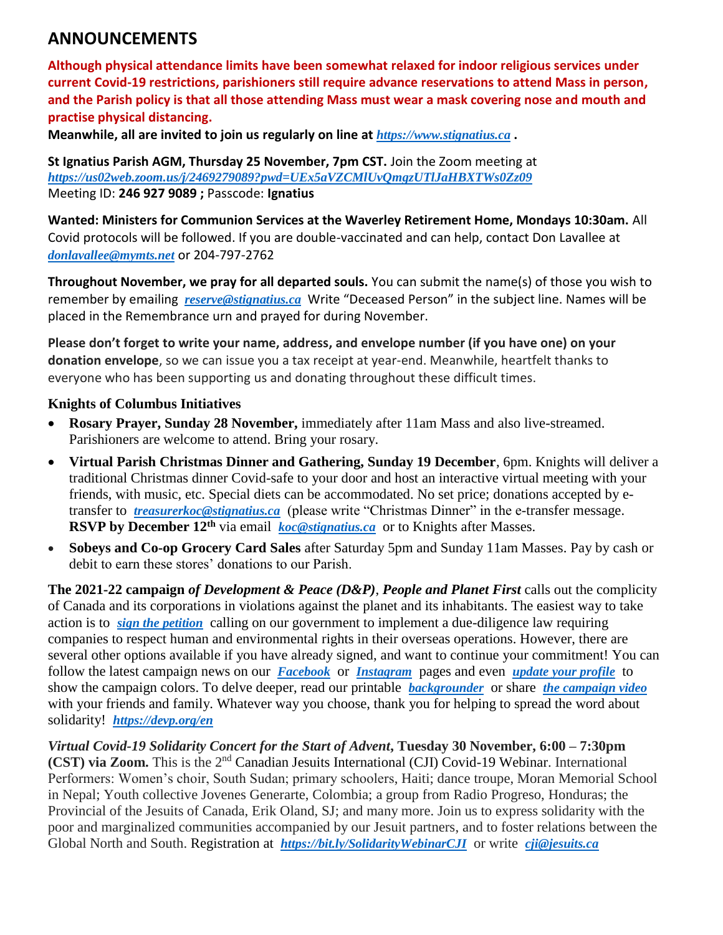# <span id="page-1-0"></span>**ANNOUNCEMENTS**

**Although physical attendance limits have been somewhat relaxed for indoor religious services under current Covid-19 restrictions, parishioners still require advance reservations to attend Mass in person, and the Parish policy is that all those attending Mass must wear a mask covering nose and mouth and practise physical distancing.**

**Meanwhile, all are invited to join us regularly on line at** *https://www.stignatius.ca* **.** 

**St Ignatius Parish AGM, Thursday 25 November, 7pm CST.** Join the Zoom meeting at *<https://us02web.zoom.us/j/2469279089?pwd=UEx5aVZCMlUvQmgzUTlJaHBXTWs0Zz09>* Meeting ID: **246 927 9089 ;** Passcode: **Ignatius**

**Wanted: Ministers for Communion Services at the Waverley Retirement Home, Mondays 10:30am.** All Covid protocols will be followed. If you are double-vaccinated and can help, contact Don Lavallee at *[donlavallee@mymts.net](mailto:donlavallee@mymts.net)* or 204-797-2762

**Throughout November, we pray for all departed souls.** You can submit the name(s) of those you wish to remember by emailing *[reserve@stignatius.ca](mailto:reserve@stignatius.ca)* Write "Deceased Person" in the subject line. Names will be placed in the Remembrance urn and prayed for during November.

**Please don't forget to write your name, address, and envelope number (if you have one) on your donation envelope**, so we can issue you a tax receipt at year-end. Meanwhile, heartfelt thanks to everyone who has been supporting us and donating throughout these difficult times.

# **Knights of Columbus Initiatives**

- **Rosary Prayer, Sunday 28 November,** immediately after 11am Mass and also live-streamed. Parishioners are welcome to attend. Bring your rosary.
- **Virtual Parish Christmas Dinner and Gathering, Sunday 19 December**, 6pm. Knights will deliver a traditional Christmas dinner Covid-safe to your door and host an interactive virtual meeting with your friends, with music, etc. Special diets can be accommodated. No set price; donations accepted by etransfer to *[treasurerkoc@stignatius.ca](mailto:treasurerkoc@stignatius.ca)* (please write "Christmas Dinner" in the e-transfer message. **RSVP by December 12th** via email *[koc@stignatius.ca](mailto:koc@stignatius.ca)* or to Knights after Masses.
- **Sobeys and Co-op Grocery Card Sales** after Saturday 5pm and Sunday 11am Masses. Pay by cash or debit to earn these stores' donations to our Parish.

**The 2021-22 campaign** *of Development & Peace (D&P)*, *People and Planet First* calls out the complicity of Canada and its corporations in violations against the planet and its inhabitants. The easiest way to take action is to *[sign the petition](https://www.devp.org/en/campaign/people-planet-first/take-action/)* calling on our government to implement a due-diligence law requiring companies to respect human and environmental rights in their overseas operations. However, there are several other options available if you have already signed, and want to continue your commitment! You can follow the latest campaign news on our *[Facebook](https://www.facebook.com/devpeace)* or *[Instagram](https://www.instagram.com/devpeace/)* pages and even *[update your profile](https://www.devp.org/en/campaign/people-planet-first/resources/downloadable-resources/)* to show the campaign colors. To delve deeper, read our printable *[backgrounder](https://www.devp.org/wp-content/uploads/2021/09/EN_backgrounder.pdf)* or share *[the campaign video](https://youtu.be/ORiitM9kA9U)* with your friends and family. Whatever way you choose, thank you for helping to spread the word about solidarity! *<https://devp.org/en>*

*Virtual Covid-19 Solidarity Concert for the Start of Advent***, Tuesday 30 November, 6:00 – 7:30pm (CST) via Zoom.** This is the 2nd Canadian Jesuits International (CJI) Covid-19 Webinar. International Performers: Women's choir, South Sudan; primary schoolers, Haiti; dance troupe, Moran Memorial School in Nepal; Youth collective Jovenes Generarte, Colombia; a group from Radio Progreso, Honduras; the Provincial of the Jesuits of Canada, Erik Oland, SJ; and many more. Join us to express solidarity with the poor and marginalized communities accompanied by our Jesuit partners, and to foster relations between the Global North and South. Registration at *<https://bit.ly/SolidarityWebinarCJI>* or write *[cji@jesuits.ca](mailto:cji@jesuits.ca)*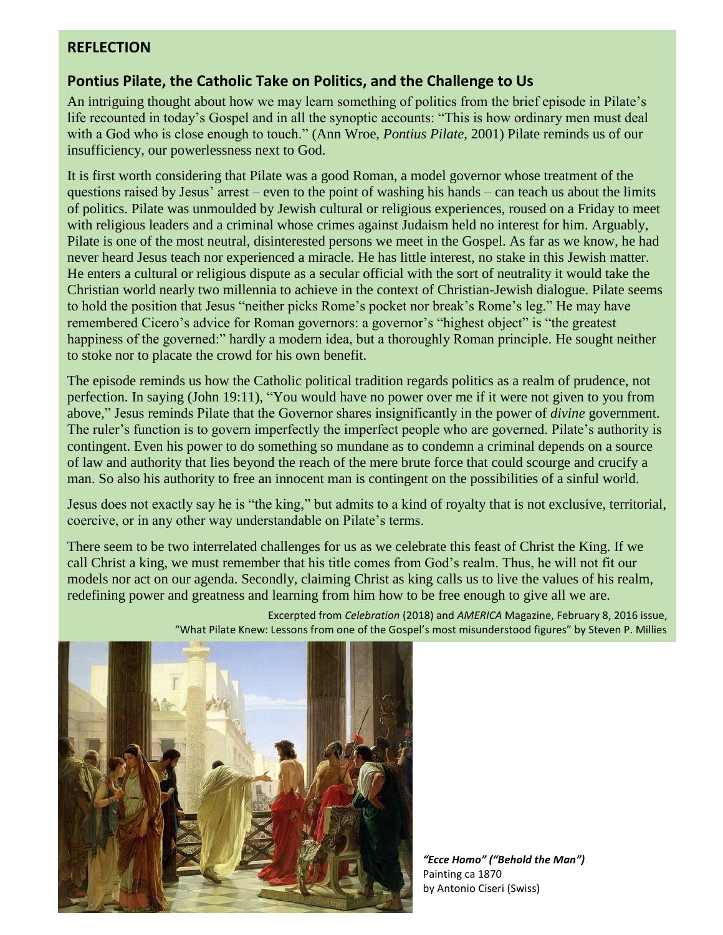# <span id="page-2-0"></span>**REFLECTION**

# **Pontius Pilate, the Catholic Take on Politics, and the Challenge to Us**

An intriguing thought about how we may learn something of politics from the brief episode in Pilate's life recounted in today's Gospel and in all the synoptic accounts: "This is how ordinary men must deal with a God who is close enough to touch." (Ann Wroe, *Pontius Pilate,* 2001) Pilate reminds us of our insufficiency, our powerlessness next to God.

It is first worth considering that Pilate was a good Roman, a model governor whose treatment of the questions raised by Jesus' arrest – even to the point of washing his hands – can teach us about the limits of politics. Pilate was unmoulded by Jewish cultural or religious experiences, roused on a Friday to meet with religious leaders and a criminal whose crimes against Judaism held no interest for him. Arguably, Pilate is one of the most neutral, disinterested persons we meet in the Gospel. As far as we know, he had never heard Jesus teach nor experienced a miracle. He has little interest, no stake in this Jewish matter. He enters a cultural or religious dispute as a secular official with the sort of neutrality it would take the Christian world nearly two millennia to achieve in the context of Christian-Jewish dialogue. Pilate seems to hold the position that Jesus "neither picks Rome's pocket nor break's Rome's leg." He may have remembered Cicero's advice for Roman governors: a governor's "highest object" is "the greatest happiness of the governed:" hardly a modern idea, but a thoroughly Roman principle. He sought neither to stoke nor to placate the crowd for his own benefit.

The episode reminds us how the Catholic political tradition regards politics as a realm of prudence, not perfection. In saying (John 19:11), "You would have no power over me if it were not given to you from above," Jesus reminds Pilate that the Governor shares insignificantly in the power of *divine* government. The ruler's function is to govern imperfectly the imperfect people who are governed. Pilate's authority is contingent. Even his power to do something so mundane as to condemn a criminal depends on a source of law and authority that lies beyond the reach of the mere brute force that could scourge and crucify a man. So also his authority to free an innocent man is contingent on the possibilities of a sinful world.

Jesus does not exactly say he is "the king," but admits to a kind of royalty that is not exclusive, territorial, coercive, or in any other way understandable on Pilate's terms.

There seem to be two interrelated challenges for us as we celebrate this feast of Christ the King. If we call Christ a king, we must remember that his title comes from God's realm. Thus, he will not fit our models nor act on our agenda. Secondly, claiming Christ as king calls us to live the values of his realm, redefining power and greatness and learning from him how to be free enough to give all we are.



Excerpted from *Celebration* (2018) and *AMERICA* Magazine, February 8, 2016 issue, "What Pilate Knew: Lessons from one of the Gospel's most misunderstood figures" by Steven P. Millies

*"Ecce Homo" ("Behold the Man")* Painting ca 1870 by Antonio Ciseri (Swiss)